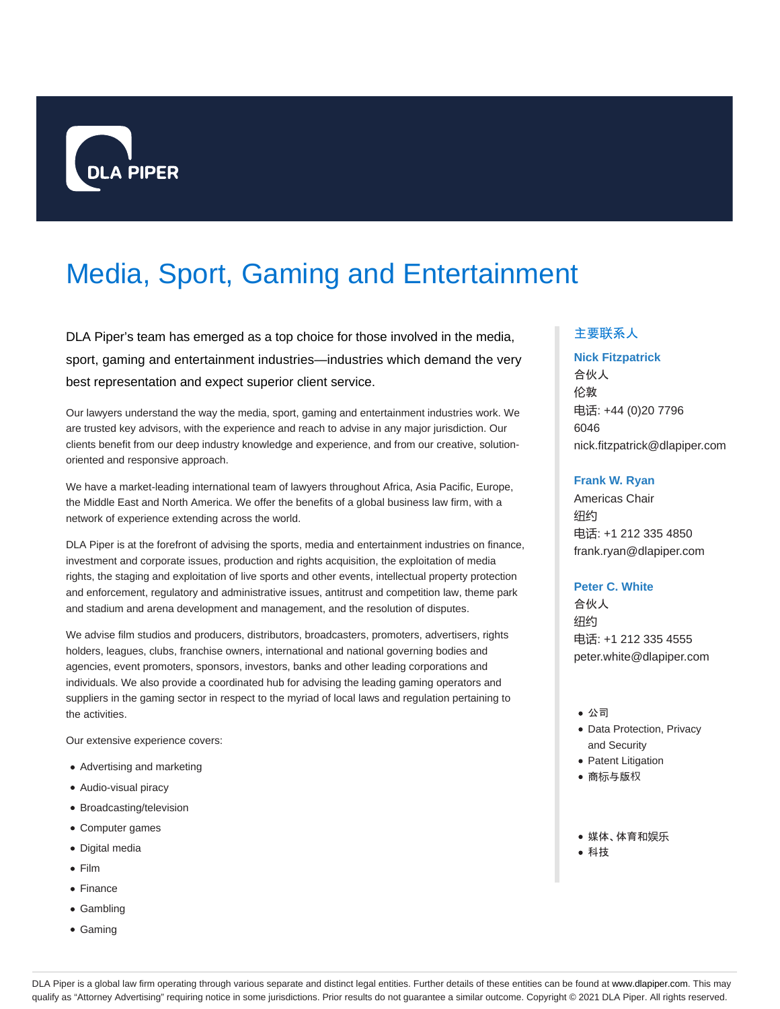

# Media, Sport, Gaming and Entertainment

DLA Piper's team has emerged as a top choice for those involved in the media, sport, gaming and entertainment industries—industries which demand the very best representation and expect superior client service.

Our lawyers understand the way the media, sport, gaming and entertainment industries work. We are trusted key advisors, with the experience and reach to advise in any major jurisdiction. Our clients benefit from our deep industry knowledge and experience, and from our creative, solutionoriented and responsive approach.

We have a market-leading international team of lawyers throughout Africa, Asia Pacific, Europe, the Middle East and North America. We offer the benefits of a global business law firm, with a network of experience extending across the world.

DLA Piper is at the forefront of advising the sports, media and entertainment industries on finance, investment and corporate issues, production and rights acquisition, the exploitation of media rights, the staging and exploitation of live sports and other events, intellectual property protection and enforcement, regulatory and administrative issues, antitrust and competition law, theme park and stadium and arena development and management, and the resolution of disputes.

We advise film studios and producers, distributors, broadcasters, promoters, advertisers, rights holders, leagues, clubs, franchise owners, international and national governing bodies and agencies, event promoters, sponsors, investors, banks and other leading corporations and individuals. We also provide a coordinated hub for advising the leading gaming operators and suppliers in the gaming sector in respect to the myriad of local laws and regulation pertaining to the activities.

Our extensive experience covers:

- Advertising and marketing
- Audio-visual piracy
- Broadcasting/television
- Computer games
- Digital media
- Film
- Finance
- Gambling
- Gaming

# 主要联系人

### **Nick Fitzpatrick**

合伙人 伦敦 电话: +44 (0)20 7796 6046 nick.fitzpatrick@dlapiper.com

#### **Frank W. Ryan**

Americas Chair 纽约 电话: +1 212 335 4850 frank.ryan@dlapiper.com

## **Peter C. White**

合伙人 纽约 电话: +1 212 335 4555 peter.white@dlapiper.com

- 公司
- Data Protection, Privacy and Security
- Patent Litigation
- 商标与版权
- 媒体、体育和娱乐
- 科技